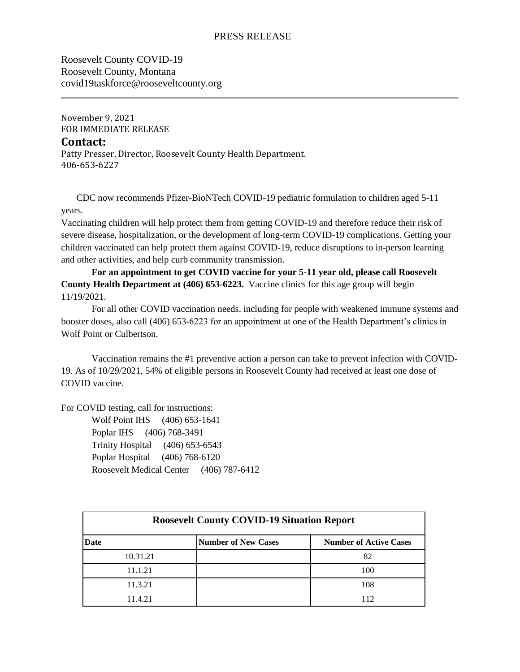## PRESS RELEASE

Roosevelt County COVID-19 Roosevelt County, Montana covid19taskforce@rooseveltcounty.org

November 9, 2021 FOR IMMEDIATE RELEASE

## **Contact:**

Patty Presser, Director, Roosevelt County Health Department. 406-653-6227

 CDC now recommends Pfizer-BioNTech COVID-19 pediatric formulation to children aged 5-11 years.

Vaccinating children will help protect them from getting COVID-19 and therefore reduce their risk of severe disease, hospitalization, or the development of long-term COVID-19 complications. Getting your children vaccinated can help protect them against COVID-19, reduce disruptions to in-person learning and other activities, and help curb community transmission.

**For an appointment to get COVID vaccine for your 5-11 year old, please call Roosevelt County Health Department at (406) 653-6223.** Vaccine clinics for this age group will begin 11/19/2021.

For all other COVID vaccination needs, including for people with weakened immune systems and booster doses, also call (406) 653-6223 for an appointment at one of the Health Department's clinics in Wolf Point or Culbertson.

Vaccination remains the #1 preventive action a person can take to prevent infection with COVID-19. As of 10/29/2021, 54% of eligible persons in Roosevelt County had received at least one dose of COVID vaccine.

For COVID testing, call for instructions:

Wolf Point IHS (406) 653-1641 Poplar IHS (406) 768-3491 Trinity Hospital (406) 653-6543 Poplar Hospital (406) 768-6120 Roosevelt Medical Center (406) 787-6412

| <b>Roosevelt County COVID-19 Situation Report</b> |                            |                               |
|---------------------------------------------------|----------------------------|-------------------------------|
| Date                                              | <b>Number of New Cases</b> | <b>Number of Active Cases</b> |
| 10.31.21                                          |                            | 82                            |
| 11.1.21                                           |                            | 100                           |
| 11.3.21                                           |                            | 108                           |
| 11.4.21                                           |                            | 112                           |